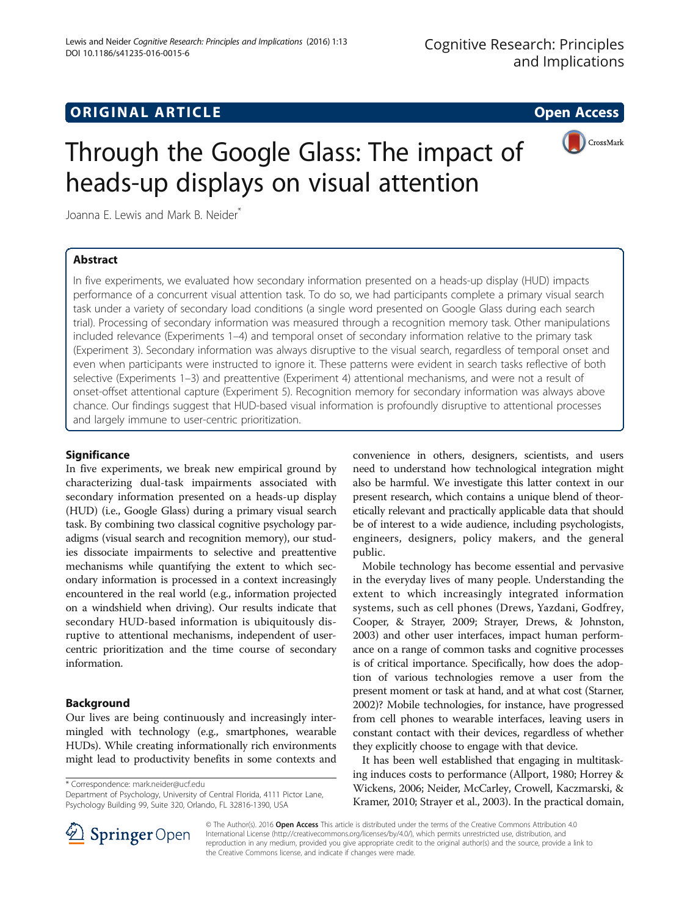# **ORIGINAL ARTICLE CONSERVANCE IN A LOCAL CONSERVANCE IN A LOCAL CONSERVANCE IN A LOCAL CONSERVANCE IN A LOCAL CONS**



# Through the Google Glass: The impact of heads-up displays on visual attention

Joanna E. Lewis and Mark B. Neider<sup>\*</sup>

# Abstract

In five experiments, we evaluated how secondary information presented on a heads-up display (HUD) impacts performance of a concurrent visual attention task. To do so, we had participants complete a primary visual search task under a variety of secondary load conditions (a single word presented on Google Glass during each search trial). Processing of secondary information was measured through a recognition memory task. Other manipulations included relevance (Experiments 1–4) and temporal onset of secondary information relative to the primary task (Experiment 3). Secondary information was always disruptive to the visual search, regardless of temporal onset and even when participants were instructed to ignore it. These patterns were evident in search tasks reflective of both selective (Experiments 1–3) and preattentive (Experiment 4) attentional mechanisms, and were not a result of onset-offset attentional capture (Experiment 5). Recognition memory for secondary information was always above chance. Our findings suggest that HUD-based visual information is profoundly disruptive to attentional processes and largely immune to user-centric prioritization.

# **Significance**

In five experiments, we break new empirical ground by characterizing dual-task impairments associated with secondary information presented on a heads-up display (HUD) (i.e., Google Glass) during a primary visual search task. By combining two classical cognitive psychology paradigms (visual search and recognition memory), our studies dissociate impairments to selective and preattentive mechanisms while quantifying the extent to which secondary information is processed in a context increasingly encountered in the real world (e.g., information projected on a windshield when driving). Our results indicate that secondary HUD-based information is ubiquitously disruptive to attentional mechanisms, independent of usercentric prioritization and the time course of secondary information.

# Background

Our lives are being continuously and increasingly intermingled with technology (e.g., smartphones, wearable HUDs). While creating informationally rich environments might lead to productivity benefits in some contexts and

\* Correspondence: [mark.neider@ucf.edu](mailto:mark.neider@ucf.edu)

Department of Psychology, University of Central Florida, 4111 Pictor Lane, Psychology Building 99, Suite 320, Orlando, FL 32816-1390, USA



Mobile technology has become essential and pervasive in the everyday lives of many people. Understanding the extent to which increasingly integrated information systems, such as cell phones (Drews, Yazdani, Godfrey, Cooper, & Strayer, [2009;](#page-9-0) Strayer, Drews, & Johnston, [2003](#page-9-0)) and other user interfaces, impact human performance on a range of common tasks and cognitive processes is of critical importance. Specifically, how does the adoption of various technologies remove a user from the present moment or task at hand, and at what cost (Starner, [2002](#page-9-0))? Mobile technologies, for instance, have progressed from cell phones to wearable interfaces, leaving users in constant contact with their devices, regardless of whether they explicitly choose to engage with that device.

It has been well established that engaging in multitasking induces costs to performance (Allport, [1980;](#page-9-0) Horrey & Wickens, [2006;](#page-9-0) Neider, McCarley, Crowell, Kaczmarski, & Kramer, [2010](#page-9-0); Strayer et al., [2003\)](#page-9-0). In the practical domain,



© The Author(s). 2016 Open Access This article is distributed under the terms of the Creative Commons Attribution 4.0 International License ([http://creativecommons.org/licenses/by/4.0/\)](http://creativecommons.org/licenses/by/4.0/), which permits unrestricted use, distribution, and reproduction in any medium, provided you give appropriate credit to the original author(s) and the source, provide a link to the Creative Commons license, and indicate if changes were made.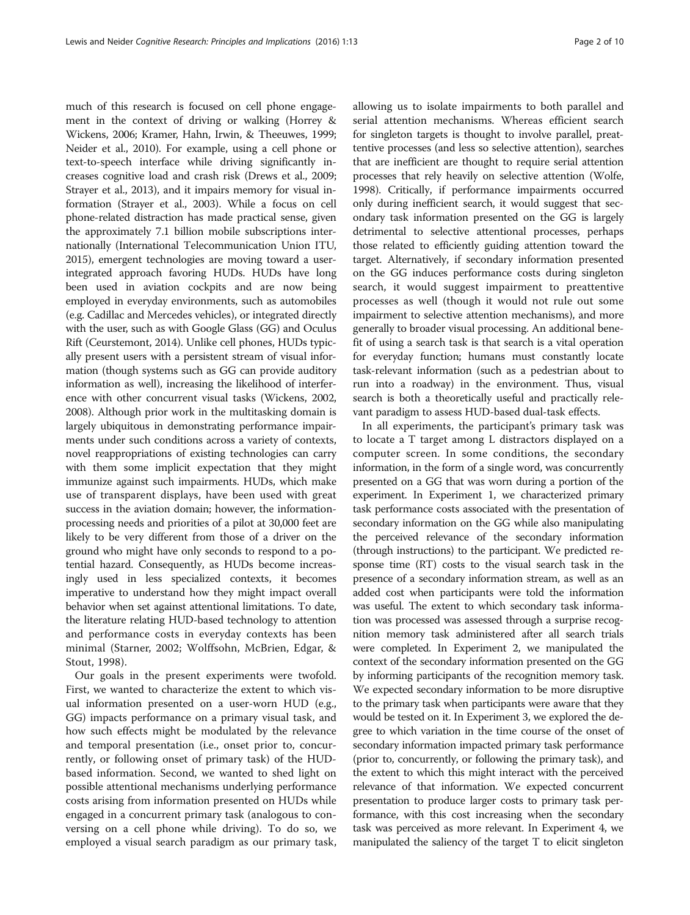much of this research is focused on cell phone engagement in the context of driving or walking (Horrey & Wickens, [2006;](#page-9-0) Kramer, Hahn, Irwin, & Theeuwes, [1999](#page-9-0); Neider et al., [2010](#page-9-0)). For example, using a cell phone or text-to-speech interface while driving significantly increases cognitive load and crash risk (Drews et al., [2009](#page-9-0); Strayer et al., [2013](#page-9-0)), and it impairs memory for visual information (Strayer et al., [2003\)](#page-9-0). While a focus on cell phone-related distraction has made practical sense, given the approximately 7.1 billion mobile subscriptions internationally (International Telecommunication Union ITU, [2015\)](#page-9-0), emergent technologies are moving toward a userintegrated approach favoring HUDs. HUDs have long been used in aviation cockpits and are now being employed in everyday environments, such as automobiles (e.g. Cadillac and Mercedes vehicles), or integrated directly with the user, such as with Google Glass (GG) and Oculus Rift (Ceurstemont, [2014](#page-9-0)). Unlike cell phones, HUDs typically present users with a persistent stream of visual information (though systems such as GG can provide auditory information as well), increasing the likelihood of interference with other concurrent visual tasks (Wickens, [2002](#page-9-0), [2008\)](#page-9-0). Although prior work in the multitasking domain is largely ubiquitous in demonstrating performance impairments under such conditions across a variety of contexts, novel reappropriations of existing technologies can carry with them some implicit expectation that they might immunize against such impairments. HUDs, which make use of transparent displays, have been used with great success in the aviation domain; however, the informationprocessing needs and priorities of a pilot at 30,000 feet are likely to be very different from those of a driver on the ground who might have only seconds to respond to a potential hazard. Consequently, as HUDs become increasingly used in less specialized contexts, it becomes imperative to understand how they might impact overall behavior when set against attentional limitations. To date, the literature relating HUD-based technology to attention and performance costs in everyday contexts has been minimal (Starner, [2002;](#page-9-0) Wolffsohn, McBrien, Edgar, & Stout, [1998](#page-9-0)).

Our goals in the present experiments were twofold. First, we wanted to characterize the extent to which visual information presented on a user-worn HUD (e.g., GG) impacts performance on a primary visual task, and how such effects might be modulated by the relevance and temporal presentation (i.e., onset prior to, concurrently, or following onset of primary task) of the HUDbased information. Second, we wanted to shed light on possible attentional mechanisms underlying performance costs arising from information presented on HUDs while engaged in a concurrent primary task (analogous to conversing on a cell phone while driving). To do so, we employed a visual search paradigm as our primary task, allowing us to isolate impairments to both parallel and serial attention mechanisms. Whereas efficient search for singleton targets is thought to involve parallel, preattentive processes (and less so selective attention), searches that are inefficient are thought to require serial attention processes that rely heavily on selective attention (Wolfe, [1998](#page-9-0)). Critically, if performance impairments occurred only during inefficient search, it would suggest that secondary task information presented on the GG is largely detrimental to selective attentional processes, perhaps those related to efficiently guiding attention toward the target. Alternatively, if secondary information presented on the GG induces performance costs during singleton search, it would suggest impairment to preattentive processes as well (though it would not rule out some impairment to selective attention mechanisms), and more generally to broader visual processing. An additional benefit of using a search task is that search is a vital operation for everyday function; humans must constantly locate task-relevant information (such as a pedestrian about to run into a roadway) in the environment. Thus, visual search is both a theoretically useful and practically relevant paradigm to assess HUD-based dual-task effects.

In all experiments, the participant's primary task was to locate a T target among L distractors displayed on a computer screen. In some conditions, the secondary information, in the form of a single word, was concurrently presented on a GG that was worn during a portion of the experiment. In Experiment 1, we characterized primary task performance costs associated with the presentation of secondary information on the GG while also manipulating the perceived relevance of the secondary information (through instructions) to the participant. We predicted response time (RT) costs to the visual search task in the presence of a secondary information stream, as well as an added cost when participants were told the information was useful. The extent to which secondary task information was processed was assessed through a surprise recognition memory task administered after all search trials were completed. In Experiment 2, we manipulated the context of the secondary information presented on the GG by informing participants of the recognition memory task. We expected secondary information to be more disruptive to the primary task when participants were aware that they would be tested on it. In Experiment 3, we explored the degree to which variation in the time course of the onset of secondary information impacted primary task performance (prior to, concurrently, or following the primary task), and the extent to which this might interact with the perceived relevance of that information. We expected concurrent presentation to produce larger costs to primary task performance, with this cost increasing when the secondary task was perceived as more relevant. In Experiment 4, we manipulated the saliency of the target T to elicit singleton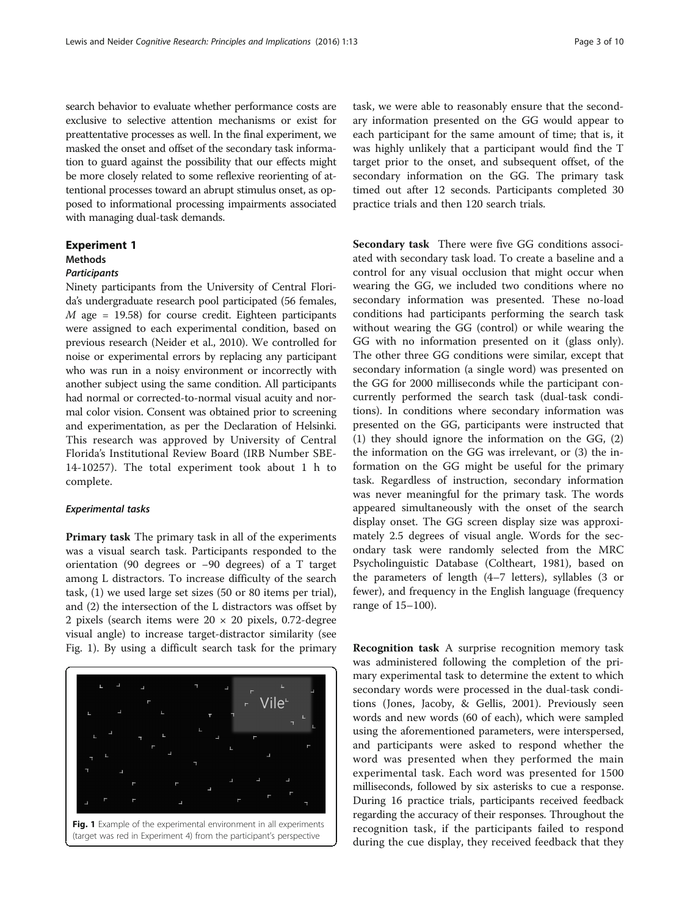search behavior to evaluate whether performance costs are exclusive to selective attention mechanisms or exist for preattentative processes as well. In the final experiment, we masked the onset and offset of the secondary task information to guard against the possibility that our effects might be more closely related to some reflexive reorienting of attentional processes toward an abrupt stimulus onset, as opposed to informational processing impairments associated with managing dual-task demands.

# Experiment 1 Methods

#### **Participants**

Ninety participants from the University of Central Florida's undergraduate research pool participated (56 females,  $M$  age = 19.58) for course credit. Eighteen participants were assigned to each experimental condition, based on previous research (Neider et al., [2010\)](#page-9-0). We controlled for noise or experimental errors by replacing any participant who was run in a noisy environment or incorrectly with another subject using the same condition. All participants had normal or corrected-to-normal visual acuity and normal color vision. Consent was obtained prior to screening and experimentation, as per the Declaration of Helsinki. This research was approved by University of Central Florida's Institutional Review Board (IRB Number SBE-14-10257). The total experiment took about 1 h to complete.

#### Experimental tasks

Primary task The primary task in all of the experiments was a visual search task. Participants responded to the orientation (90 degrees or −90 degrees) of a T target among L distractors. To increase difficulty of the search task, (1) we used large set sizes (50 or 80 items per trial), and (2) the intersection of the L distractors was offset by 2 pixels (search items were  $20 \times 20$  pixels, 0.72-degree visual angle) to increase target-distractor similarity (see Fig. 1). By using a difficult search task for the primary

Fig. 1 Example of the experimental environment in all experiments (target was red in Experiment 4) from the participant's perspective

task, we were able to reasonably ensure that the secondary information presented on the GG would appear to each participant for the same amount of time; that is, it was highly unlikely that a participant would find the T target prior to the onset, and subsequent offset, of the secondary information on the GG. The primary task timed out after 12 seconds. Participants completed 30 practice trials and then 120 search trials.

Secondary task There were five GG conditions associated with secondary task load. To create a baseline and a control for any visual occlusion that might occur when wearing the GG, we included two conditions where no secondary information was presented. These no-load conditions had participants performing the search task without wearing the GG (control) or while wearing the GG with no information presented on it (glass only). The other three GG conditions were similar, except that secondary information (a single word) was presented on the GG for 2000 milliseconds while the participant concurrently performed the search task (dual-task conditions). In conditions where secondary information was presented on the GG, participants were instructed that (1) they should ignore the information on the GG, (2) the information on the GG was irrelevant, or (3) the information on the GG might be useful for the primary task. Regardless of instruction, secondary information was never meaningful for the primary task. The words appeared simultaneously with the onset of the search display onset. The GG screen display size was approximately 2.5 degrees of visual angle. Words for the secondary task were randomly selected from the MRC Psycholinguistic Database (Coltheart, [1981](#page-9-0)), based on the parameters of length (4–7 letters), syllables (3 or fewer), and frequency in the English language (frequency range of 15–100).

Recognition task A surprise recognition memory task was administered following the completion of the primary experimental task to determine the extent to which secondary words were processed in the dual-task conditions (Jones, Jacoby, & Gellis, [2001\)](#page-9-0). Previously seen words and new words (60 of each), which were sampled using the aforementioned parameters, were interspersed, and participants were asked to respond whether the word was presented when they performed the main experimental task. Each word was presented for 1500 milliseconds, followed by six asterisks to cue a response. During 16 practice trials, participants received feedback regarding the accuracy of their responses. Throughout the recognition task, if the participants failed to respond during the cue display, they received feedback that they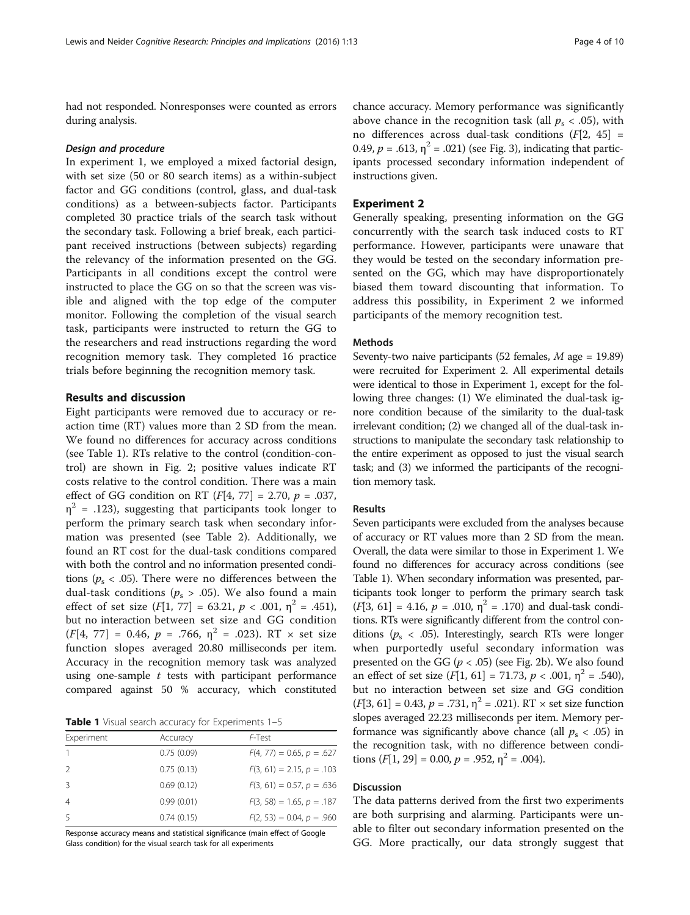<span id="page-3-0"></span>had not responded. Nonresponses were counted as errors during analysis.

#### Design and procedure

In experiment 1, we employed a mixed factorial design, with set size (50 or 80 search items) as a within-subject factor and GG conditions (control, glass, and dual-task conditions) as a between-subjects factor. Participants completed 30 practice trials of the search task without the secondary task. Following a brief break, each participant received instructions (between subjects) regarding the relevancy of the information presented on the GG. Participants in all conditions except the control were instructed to place the GG on so that the screen was visible and aligned with the top edge of the computer monitor. Following the completion of the visual search task, participants were instructed to return the GG to the researchers and read instructions regarding the word recognition memory task. They completed 16 practice trials before beginning the recognition memory task.

# Results and discussion

Eight participants were removed due to accuracy or reaction time (RT) values more than 2 SD from the mean. We found no differences for accuracy across conditions (see Table 1). RTs relative to the control (condition-control) are shown in Fig. [2;](#page-4-0) positive values indicate RT costs relative to the control condition. There was a main effect of GG condition on RT  $(F[4, 77] = 2.70, p = .037,$  $\eta^2$  = .123), suggesting that participants took longer to perform the primary search task when secondary information was presented (see Table [2\)](#page-5-0). Additionally, we found an RT cost for the dual-task conditions compared with both the control and no information presented conditions ( $p_s < .05$ ). There were no differences between the dual-task conditions ( $p_s > .05$ ). We also found a main effect of set size  $(F[1, 77] = 63.21, p < .001, \eta^2 = .451)$ , but no interaction between set size and GG condition  $(F[4, 77] = 0.46, p = .766, \eta^2 = .023)$ . RT × set size function slopes averaged 20.80 milliseconds per item. Accuracy in the recognition memory task was analyzed using one-sample  $t$  tests with participant performance compared against 50 % accuracy, which constituted

Table 1 Visual search accuracy for Experiments 1-5

| Experiment     | Accuracy   | F-Test                         |
|----------------|------------|--------------------------------|
|                | 0.75(0.09) | $F(4, 77) = 0.65, p = .627$    |
| 2              | 0.75(0.13) | $F(3, 61) = 2.15, p = .103$    |
| 3              | 0.69(0.12) | $F(3, 61) = 0.57, p = .636$    |
| $\overline{4}$ | 0.99(0.01) | $F(3, 58) = 1.65, p = .187$    |
| -5             | 0.74(0.15) | $F(2, 53) = 0.04$ , $p = .960$ |

Response accuracy means and statistical significance (main effect of Google Glass condition) for the visual search task for all experiments

chance accuracy. Memory performance was significantly above chance in the recognition task (all  $p_s < .05$ ), with no differences across dual-task conditions  $(F[2, 45] =$ 0.49,  $p = .613$ ,  $\eta^2 = .021$ ) (see Fig. [3](#page-6-0)), indicating that participants processed secondary information independent of instructions given.

#### Experiment 2

Generally speaking, presenting information on the GG concurrently with the search task induced costs to RT performance. However, participants were unaware that they would be tested on the secondary information presented on the GG, which may have disproportionately biased them toward discounting that information. To address this possibility, in Experiment 2 we informed participants of the memory recognition test.

#### **Methods**

Seventy-two naive participants (52 females,  $M$  age = 19.89) were recruited for Experiment 2. All experimental details were identical to those in Experiment 1, except for the following three changes: (1) We eliminated the dual-task ignore condition because of the similarity to the dual-task irrelevant condition; (2) we changed all of the dual-task instructions to manipulate the secondary task relationship to the entire experiment as opposed to just the visual search task; and (3) we informed the participants of the recognition memory task.

#### Results

Seven participants were excluded from the analyses because of accuracy or RT values more than 2 SD from the mean. Overall, the data were similar to those in Experiment 1. We found no differences for accuracy across conditions (see Table 1). When secondary information was presented, participants took longer to perform the primary search task  $(F[3, 61] = 4.16, p = .010, \eta^2 = .170)$  and dual-task conditions. RTs were significantly different from the control conditions ( $p_s < .05$ ). Interestingly, search RTs were longer when purportedly useful secondary information was presented on the GG ( $p < .05$ ) (see Fig. [2](#page-4-0)b). We also found an effect of set size  $(F[1, 61] = 71.73, p < .001, \eta^2 = .540)$ , but no interaction between set size and GG condition  $(F[3, 61] = 0.43, p = .731, \eta^2 = .021)$ . RT × set size function slopes averaged 22.23 milliseconds per item. Memory performance was significantly above chance (all  $p_s < .05$ ) in the recognition task, with no difference between conditions  $(F[1, 29] = 0.00, p = .952, \eta^2 = .004)$ .

# Discussion

The data patterns derived from the first two experiments are both surprising and alarming. Participants were unable to filter out secondary information presented on the GG. More practically, our data strongly suggest that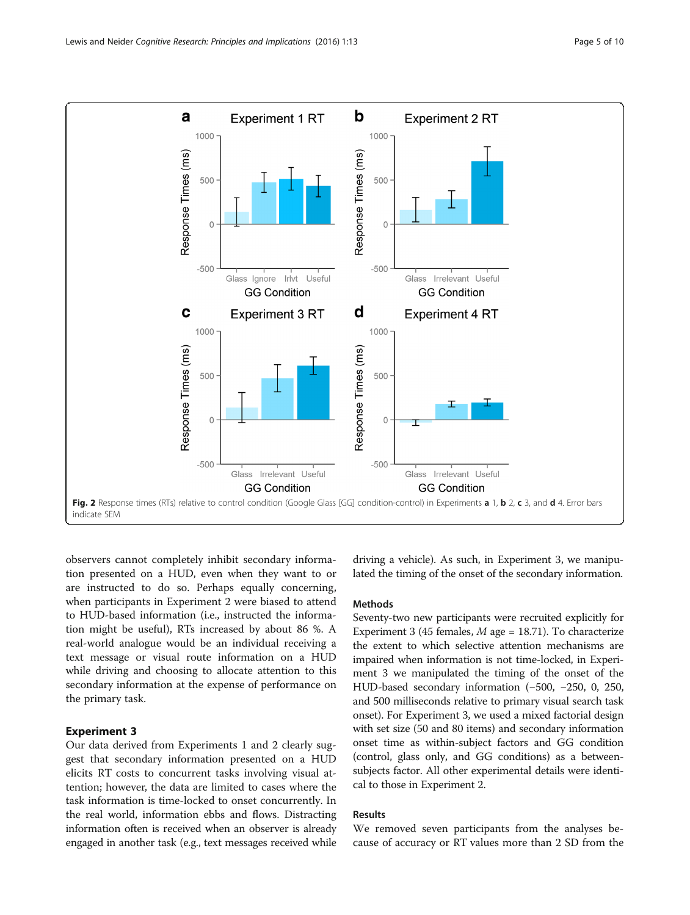<span id="page-4-0"></span>

observers cannot completely inhibit secondary information presented on a HUD, even when they want to or are instructed to do so. Perhaps equally concerning, when participants in Experiment 2 were biased to attend to HUD-based information (i.e., instructed the information might be useful), RTs increased by about 86 %. A real-world analogue would be an individual receiving a text message or visual route information on a HUD while driving and choosing to allocate attention to this secondary information at the expense of performance on the primary task.

# Experiment 3

Our data derived from Experiments 1 and 2 clearly suggest that secondary information presented on a HUD elicits RT costs to concurrent tasks involving visual attention; however, the data are limited to cases where the task information is time-locked to onset concurrently. In the real world, information ebbs and flows. Distracting information often is received when an observer is already engaged in another task (e.g., text messages received while

driving a vehicle). As such, in Experiment 3, we manipulated the timing of the onset of the secondary information.

## Methods

Seventy-two new participants were recruited explicitly for Experiment 3 (45 females,  $M$  age = 18.71). To characterize the extent to which selective attention mechanisms are impaired when information is not time-locked, in Experiment 3 we manipulated the timing of the onset of the HUD-based secondary information (−500, −250, 0, 250, and 500 milliseconds relative to primary visual search task onset). For Experiment 3, we used a mixed factorial design with set size (50 and 80 items) and secondary information onset time as within-subject factors and GG condition (control, glass only, and GG conditions) as a betweensubjects factor. All other experimental details were identical to those in Experiment 2.

# Results

We removed seven participants from the analyses because of accuracy or RT values more than 2 SD from the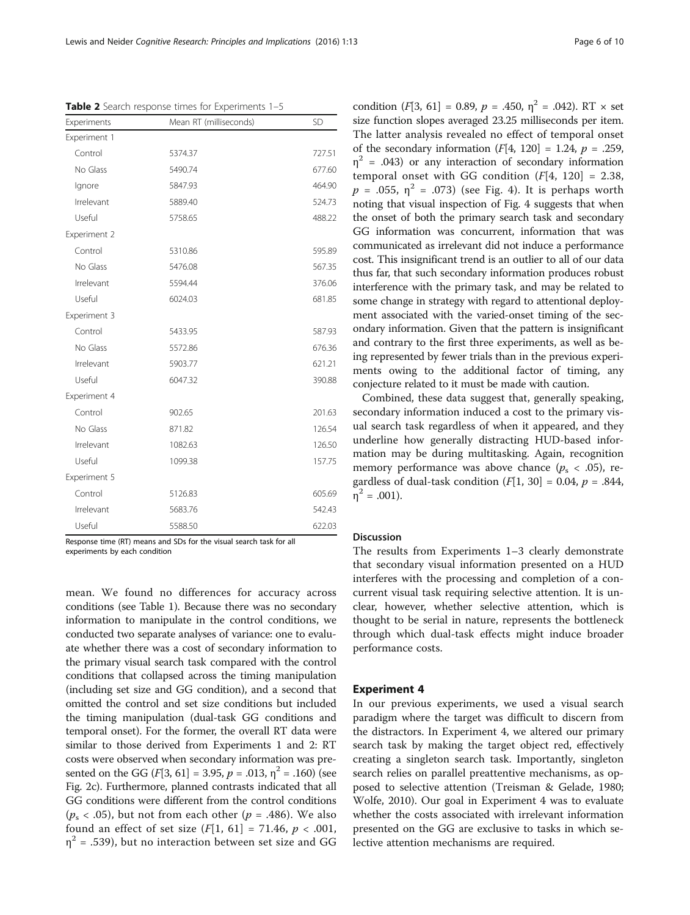Response time (RT) means and SDs for the visual search task for all experiments by each condition

mean. We found no differences for accuracy across conditions (see Table [1](#page-3-0)). Because there was no secondary information to manipulate in the control conditions, we conducted two separate analyses of variance: one to evaluate whether there was a cost of secondary information to the primary visual search task compared with the control conditions that collapsed across the timing manipulation (including set size and GG condition), and a second that omitted the control and set size conditions but included the timing manipulation (dual-task GG conditions and temporal onset). For the former, the overall RT data were similar to those derived from Experiments 1 and 2: RT costs were observed when secondary information was presented on the GG ( $F[3, 61] = 3.95$ ,  $p = .013$ ,  $n^2 = .160$ ) (see Fig. [2c](#page-4-0)). Furthermore, planned contrasts indicated that all GG conditions were different from the control conditions ( $p_s$  < .05), but not from each other ( $p = .486$ ). We also found an effect of set size  $(F[1, 61] = 71.46, p < .001,$  $\eta^2$  = .539), but no interaction between set size and GG

condition  $(F[3, 61] = 0.89, p = .450, \eta^2 = .042)$ . RT  $\times$  set size function slopes averaged 23.25 milliseconds per item. The latter analysis revealed no effect of temporal onset of the secondary information  $(F[4, 120] = 1.24, p = .259,$  $\eta^2$  = .043) or any interaction of secondary information temporal onset with GG condition  $(F[4, 120] = 2.38$ ,  $p = .055$ ,  $\eta^2 = .073$ ) (see Fig. [4\)](#page-7-0). It is perhaps worth noting that visual inspection of Fig. [4](#page-7-0) suggests that when the onset of both the primary search task and secondary GG information was concurrent, information that was communicated as irrelevant did not induce a performance cost. This insignificant trend is an outlier to all of our data thus far, that such secondary information produces robust interference with the primary task, and may be related to some change in strategy with regard to attentional deployment associated with the varied-onset timing of the secondary information. Given that the pattern is insignificant and contrary to the first three experiments, as well as being represented by fewer trials than in the previous experiments owing to the additional factor of timing, any conjecture related to it must be made with caution.

Combined, these data suggest that, generally speaking, secondary information induced a cost to the primary visual search task regardless of when it appeared, and they underline how generally distracting HUD-based information may be during multitasking. Again, recognition memory performance was above chance ( $p_s < .05$ ), regardless of dual-task condition  $(F[1, 30] = 0.04, p = .844,$  $\eta^2 = .001$ ).

## Discussion

The results from Experiments 1–3 clearly demonstrate that secondary visual information presented on a HUD interferes with the processing and completion of a concurrent visual task requiring selective attention. It is unclear, however, whether selective attention, which is thought to be serial in nature, represents the bottleneck through which dual-task effects might induce broader performance costs.

#### Experiment 4

In our previous experiments, we used a visual search paradigm where the target was difficult to discern from the distractors. In Experiment 4, we altered our primary search task by making the target object red, effectively creating a singleton search task. Importantly, singleton search relies on parallel preattentive mechanisms, as opposed to selective attention (Treisman & Gelade, [1980](#page-9-0); Wolfe, [2010\)](#page-9-0). Our goal in Experiment 4 was to evaluate whether the costs associated with irrelevant information presented on the GG are exclusive to tasks in which selective attention mechanisms are required.

<span id="page-5-0"></span>Table 2 Search response times for Experiments 1-5

| Experiments  | Mean RT (milliseconds) | <b>SD</b> |
|--------------|------------------------|-----------|
| Experiment 1 |                        |           |
| Control      | 5374.37                | 727.51    |
| No Glass     | 5490.74                | 677.60    |
| Ignore       | 5847.93                | 464.90    |
| Irrelevant   | 5889.40                | 524.73    |
| Useful       | 5758.65                | 488.22    |
| Experiment 2 |                        |           |
| Control      | 5310.86                | 595.89    |
| No Glass     | 5476.08                | 567.35    |
| Irrelevant   | 5594.44                | 376.06    |
| Useful       | 6024.03                | 681.85    |
| Experiment 3 |                        |           |
| Control      | 5433.95                | 587.93    |
| No Glass     | 5572.86                | 676.36    |
| Irrelevant   | 5903.77                | 621.21    |
| Useful       | 6047.32                | 390.88    |
| Experiment 4 |                        |           |
| Control      | 902.65                 | 201.63    |
| No Glass     | 871.82                 | 126.54    |
| Irrelevant   | 1082.63                | 126.50    |
| Useful       | 1099.38                | 157.75    |
| Experiment 5 |                        |           |
| Control      | 5126.83                | 605.69    |
| Irrelevant   | 5683.76                | 542.43    |
| Useful       | 5588.50                | 622.03    |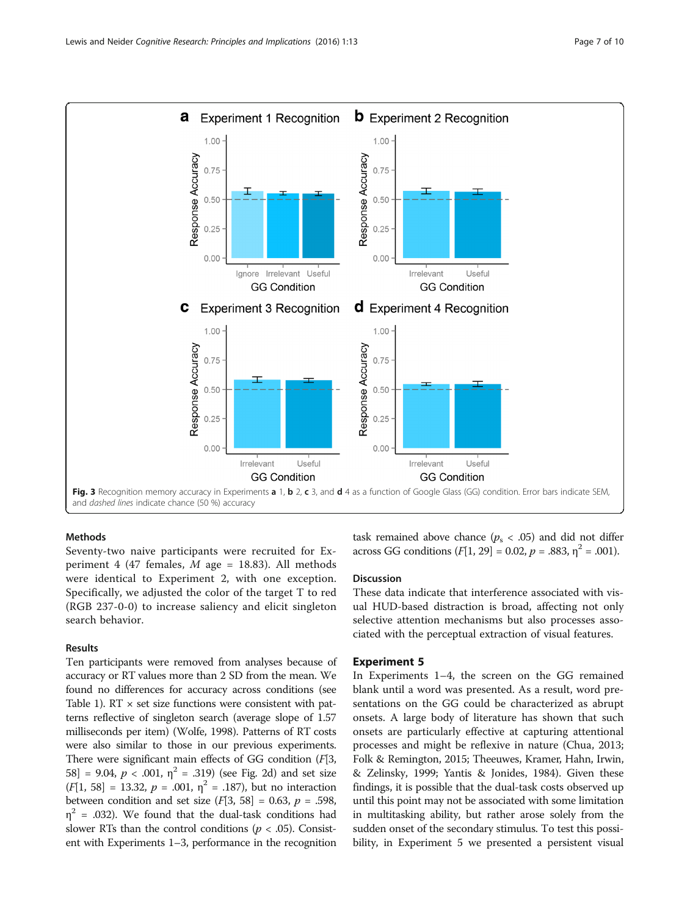<span id="page-6-0"></span>

# Methods

Seventy-two naive participants were recruited for Experiment 4 (47 females,  $M$  age = 18.83). All methods were identical to Experiment 2, with one exception. Specifically, we adjusted the color of the target T to red (RGB 237-0-0) to increase saliency and elicit singleton search behavior.

#### Results

Ten participants were removed from analyses because of accuracy or RT values more than 2 SD from the mean. We found no differences for accuracy across conditions (see Table [1\)](#page-3-0).  $RT \times$  set size functions were consistent with patterns reflective of singleton search (average slope of 1.57 milliseconds per item) (Wolfe, [1998\)](#page-9-0). Patterns of RT costs were also similar to those in our previous experiments. There were significant main effects of GG condition  $(F|3,$ 58] = 9.04,  $p < .001$ ,  $\eta^2 = .319$ ) (see Fig. [2d](#page-4-0)) and set size  $(F[1, 58] = 13.32, p = .001, \eta^2 = .187)$ , but no interaction between condition and set size  $(F[3, 58] = 0.63, p = .598,$  $\eta^2$  = .032). We found that the dual-task conditions had slower RTs than the control conditions ( $p < .05$ ). Consistent with Experiments 1–3, performance in the recognition

task remained above chance ( $p_s < .05$ ) and did not differ across GG conditions  $(F[1, 29] = 0.02, p = .883, \eta^2 = .001)$ .

#### Discussion

These data indicate that interference associated with visual HUD-based distraction is broad, affecting not only selective attention mechanisms but also processes associated with the perceptual extraction of visual features.

## Experiment 5

In Experiments 1–4, the screen on the GG remained blank until a word was presented. As a result, word presentations on the GG could be characterized as abrupt onsets. A large body of literature has shown that such onsets are particularly effective at capturing attentional processes and might be reflexive in nature (Chua, [2013](#page-9-0); Folk & Remington, [2015](#page-9-0); Theeuwes, Kramer, Hahn, Irwin, & Zelinsky, [1999](#page-9-0); Yantis & Jonides, [1984](#page-9-0)). Given these findings, it is possible that the dual-task costs observed up until this point may not be associated with some limitation in multitasking ability, but rather arose solely from the sudden onset of the secondary stimulus. To test this possibility, in Experiment 5 we presented a persistent visual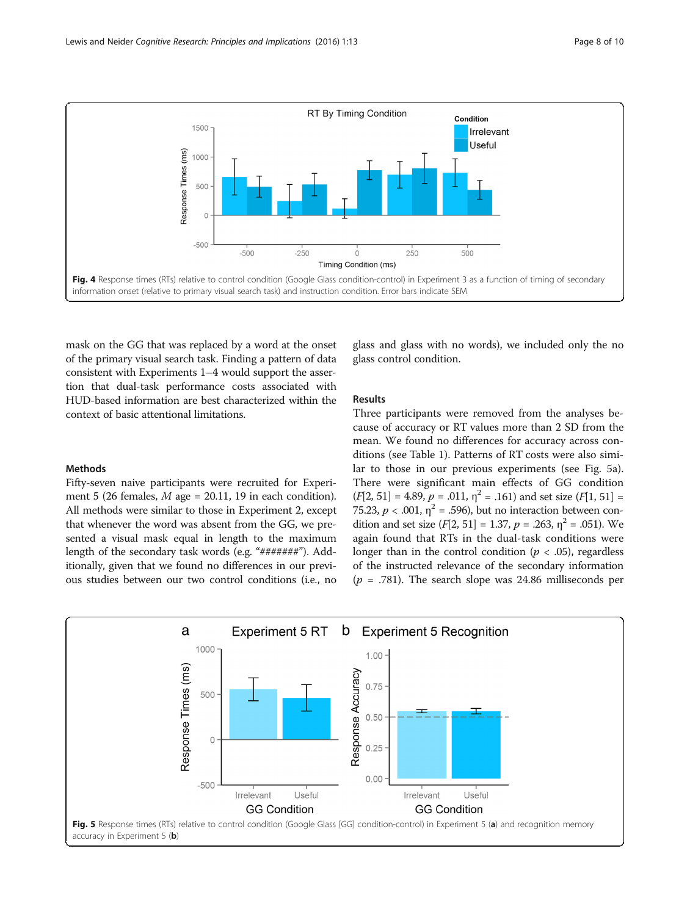<span id="page-7-0"></span>

mask on the GG that was replaced by a word at the onset of the primary visual search task. Finding a pattern of data consistent with Experiments 1–4 would support the assertion that dual-task performance costs associated with HUD-based information are best characterized within the context of basic attentional limitations.

#### Methods

Fifty-seven naive participants were recruited for Experiment 5 (26 females,  $M$  age = 20.11, 19 in each condition). All methods were similar to those in Experiment 2, except that whenever the word was absent from the GG, we presented a visual mask equal in length to the maximum length of the secondary task words (e.g. "#######"). Additionally, given that we found no differences in our previous studies between our two control conditions (i.e., no

glass and glass with no words), we included only the no glass control condition.

#### Results

Three participants were removed from the analyses because of accuracy or RT values more than 2 SD from the mean. We found no differences for accuracy across conditions (see Table [1\)](#page-3-0). Patterns of RT costs were also similar to those in our previous experiments (see Fig. 5a). There were significant main effects of GG condition  $(F[2, 51] = 4.89, p = .011, \eta^2 = .161)$  and set size  $(F[1, 51] =$ 75.23,  $p < .001$ ,  $\eta^2 = .596$ ), but no interaction between condition and set size  $(F[2, 51] = 1.37, p = .263, \eta^2 = .051)$ . We again found that RTs in the dual-task conditions were longer than in the control condition ( $p < .05$ ), regardless of the instructed relevance of the secondary information  $(p = .781)$ . The search slope was 24.86 milliseconds per

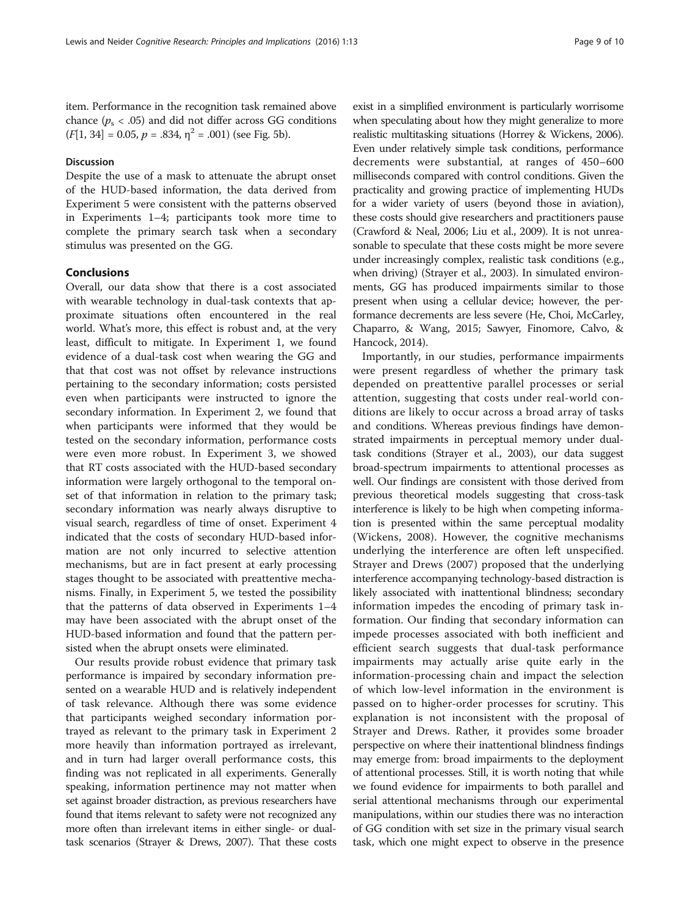item. Performance in the recognition task remained above chance ( $p_s$  < .05) and did not differ across GG conditions  $(F[1, 34] = 0.05, p = .834, \eta^2 = .001)$  (see Fig. [5b](#page-7-0)).

## Discussion

Despite the use of a mask to attenuate the abrupt onset of the HUD-based information, the data derived from Experiment 5 were consistent with the patterns observed in Experiments 1–4; participants took more time to complete the primary search task when a secondary stimulus was presented on the GG.

## Conclusions

Overall, our data show that there is a cost associated with wearable technology in dual-task contexts that approximate situations often encountered in the real world. What's more, this effect is robust and, at the very least, difficult to mitigate. In Experiment 1, we found evidence of a dual-task cost when wearing the GG and that that cost was not offset by relevance instructions pertaining to the secondary information; costs persisted even when participants were instructed to ignore the secondary information. In Experiment 2, we found that when participants were informed that they would be tested on the secondary information, performance costs were even more robust. In Experiment 3, we showed that RT costs associated with the HUD-based secondary information were largely orthogonal to the temporal onset of that information in relation to the primary task; secondary information was nearly always disruptive to visual search, regardless of time of onset. Experiment 4 indicated that the costs of secondary HUD-based information are not only incurred to selective attention mechanisms, but are in fact present at early processing stages thought to be associated with preattentive mechanisms. Finally, in Experiment 5, we tested the possibility that the patterns of data observed in Experiments 1–4 may have been associated with the abrupt onset of the HUD-based information and found that the pattern persisted when the abrupt onsets were eliminated.

Our results provide robust evidence that primary task performance is impaired by secondary information presented on a wearable HUD and is relatively independent of task relevance. Although there was some evidence that participants weighed secondary information portrayed as relevant to the primary task in Experiment 2 more heavily than information portrayed as irrelevant, and in turn had larger overall performance costs, this finding was not replicated in all experiments. Generally speaking, information pertinence may not matter when set against broader distraction, as previous researchers have found that items relevant to safety were not recognized any more often than irrelevant items in either single- or dualtask scenarios (Strayer & Drews, [2007\)](#page-9-0). That these costs

exist in a simplified environment is particularly worrisome when speculating about how they might generalize to more realistic multitasking situations (Horrey & Wickens, [2006](#page-9-0)). Even under relatively simple task conditions, performance decrements were substantial, at ranges of 450–600 milliseconds compared with control conditions. Given the practicality and growing practice of implementing HUDs for a wider variety of users (beyond those in aviation), these costs should give researchers and practitioners pause (Crawford & Neal, [2006](#page-9-0); Liu et al., [2009](#page-9-0)). It is not unreasonable to speculate that these costs might be more severe under increasingly complex, realistic task conditions (e.g., when driving) (Strayer et al., [2003](#page-9-0)). In simulated environments, GG has produced impairments similar to those present when using a cellular device; however, the performance decrements are less severe (He, Choi, McCarley, Chaparro, & Wang, [2015](#page-9-0); Sawyer, Finomore, Calvo, & Hancock, [2014](#page-9-0)).

Importantly, in our studies, performance impairments were present regardless of whether the primary task depended on preattentive parallel processes or serial attention, suggesting that costs under real-world conditions are likely to occur across a broad array of tasks and conditions. Whereas previous findings have demonstrated impairments in perceptual memory under dualtask conditions (Strayer et al., [2003\)](#page-9-0), our data suggest broad-spectrum impairments to attentional processes as well. Our findings are consistent with those derived from previous theoretical models suggesting that cross-task interference is likely to be high when competing information is presented within the same perceptual modality (Wickens, [2008\)](#page-9-0). However, the cognitive mechanisms underlying the interference are often left unspecified. Strayer and Drews (2007) proposed that the underlying interference accompanying technology-based distraction is likely associated with inattentional blindness; secondary information impedes the encoding of primary task information. Our finding that secondary information can impede processes associated with both inefficient and efficient search suggests that dual-task performance impairments may actually arise quite early in the information-processing chain and impact the selection of which low-level information in the environment is passed on to higher-order processes for scrutiny. This explanation is not inconsistent with the proposal of Strayer and Drews. Rather, it provides some broader perspective on where their inattentional blindness findings may emerge from: broad impairments to the deployment of attentional processes. Still, it is worth noting that while we found evidence for impairments to both parallel and serial attentional mechanisms through our experimental manipulations, within our studies there was no interaction of GG condition with set size in the primary visual search task, which one might expect to observe in the presence